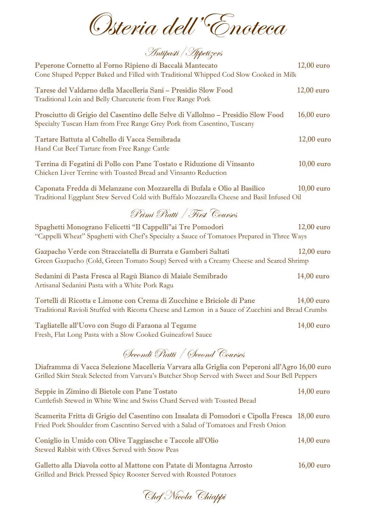Osteria dell'Enoteca

Antipasti/Appetizers

| $12,00$ euro                                                                                                                                                                                      |
|---------------------------------------------------------------------------------------------------------------------------------------------------------------------------------------------------|
| $12,00$ euro                                                                                                                                                                                      |
| $16,00$ euro                                                                                                                                                                                      |
| $12,00$ euro                                                                                                                                                                                      |
| $10,00$ euro                                                                                                                                                                                      |
| $10,00$ euro<br>Traditional Eggplant Stew Served Cold with Buffalo Mozzarella Cheese and Basil Infused Oil                                                                                        |
|                                                                                                                                                                                                   |
| $12,00$ euro<br>"Cappelli Wheat" Spaghetti with Chef's Specialty a Sauce of Tomatoes Prepared in Three Ways                                                                                       |
| $12,00$ euro<br>Green Gazpacho (Cold, Green Tomato Soup) Served with a Creamy Cheese and Seared Shrimp                                                                                            |
| $14,00$ euro                                                                                                                                                                                      |
|                                                                                                                                                                                                   |
| $14,00$ euro<br>Traditional Ravioli Stuffed with Ricotta Cheese and Lemon in a Sauce of Zucchini and Bread Crumbs                                                                                 |
| $14,00$ euro                                                                                                                                                                                      |
|                                                                                                                                                                                                   |
| Diaframma di Vacca Selezione Macelleria Varvara alla Griglia con Peperoni all'Agro 16,00 euro<br>Grilled Skirt Steak Selected from Varvara's Butcher Shop Served with Sweet and Sour Bell Peppers |
| $14,00$ euro                                                                                                                                                                                      |
| $18,00$ euro                                                                                                                                                                                      |
| $14,00$ euro                                                                                                                                                                                      |
| Cone Shaped Pepper Baked and Filled with Traditional Whipped Cod Slow Cooked in Milk                                                                                                              |

Chef Nicola Chiappi